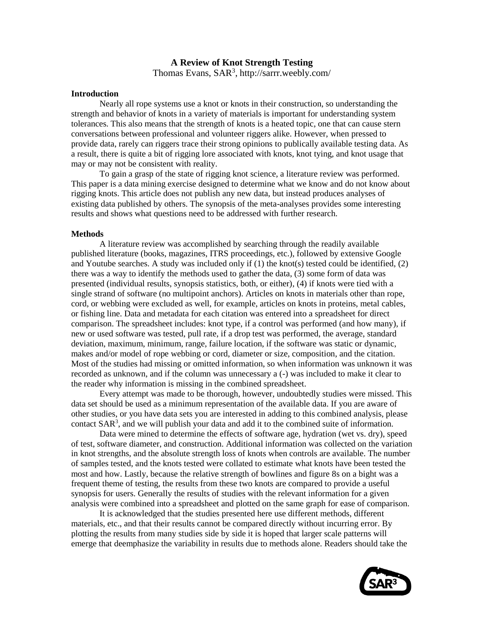## **A Review of Knot Strength Testing**

Thomas Evans, SAR<sup>3</sup>, http://sarrr.weebly.com/

#### **Introduction**

Nearly all rope systems use a knot or knots in their construction, so understanding the strength and behavior of knots in a variety of materials is important for understanding system tolerances. This also means that the strength of knots is a heated topic, one that can cause stern conversations between professional and volunteer riggers alike. However, when pressed to provide data, rarely can riggers trace their strong opinions to publically available testing data. As a result, there is quite a bit of rigging lore associated with knots, knot tying, and knot usage that may or may not be consistent with reality.

To gain a grasp of the state of rigging knot science, a literature review was performed. This paper is a data mining exercise designed to determine what we know and do not know about rigging knots. This article does not publish any new data, but instead produces analyses of existing data published by others. The synopsis of the meta-analyses provides some interesting results and shows what questions need to be addressed with further research.

#### **Methods**

A literature review was accomplished by searching through the readily available published literature (books, magazines, ITRS proceedings, etc.), followed by extensive Google and Youtube searches. A study was included only if  $(1)$  the knot(s) tested could be identified,  $(2)$ there was a way to identify the methods used to gather the data, (3) some form of data was presented (individual results, synopsis statistics, both, or either), (4) if knots were tied with a single strand of software (no multipoint anchors). Articles on knots in materials other than rope, cord, or webbing were excluded as well, for example, articles on knots in proteins, metal cables, or fishing line. Data and metadata for each citation was entered into a spreadsheet for direct comparison. The spreadsheet includes: knot type, if a control was performed (and how many), if new or used software was tested, pull rate, if a drop test was performed, the average, standard deviation, maximum, minimum, range, failure location, if the software was static or dynamic, makes and/or model of rope webbing or cord, diameter or size, composition, and the citation. Most of the studies had missing or omitted information, so when information was unknown it was recorded as unknown, and if the column was unnecessary a (-) was included to make it clear to the reader why information is missing in the combined spreadsheet.

Every attempt was made to be thorough, however, undoubtedly studies were missed. This data set should be used as a minimum representation of the available data. If you are aware of other studies, or you have data sets you are interested in adding to this combined analysis, please contact SAR<sup>3</sup>, and we will publish your data and add it to the combined suite of information.

Data were mined to determine the effects of software age, hydration (wet vs. dry), speed of test, software diameter, and construction. Additional information was collected on the variation in knot strengths, and the absolute strength loss of knots when controls are available. The number of samples tested, and the knots tested were collated to estimate what knots have been tested the most and how. Lastly, because the relative strength of bowlines and figure 8s on a bight was a frequent theme of testing, the results from these two knots are compared to provide a useful synopsis for users. Generally the results of studies with the relevant information for a given analysis were combined into a spreadsheet and plotted on the same graph for ease of comparison.

It is acknowledged that the studies presented here use different methods, different materials, etc., and that their results cannot be compared directly without incurring error. By plotting the results from many studies side by side it is hoped that larger scale patterns will emerge that deemphasize the variability in results due to methods alone. Readers should take the

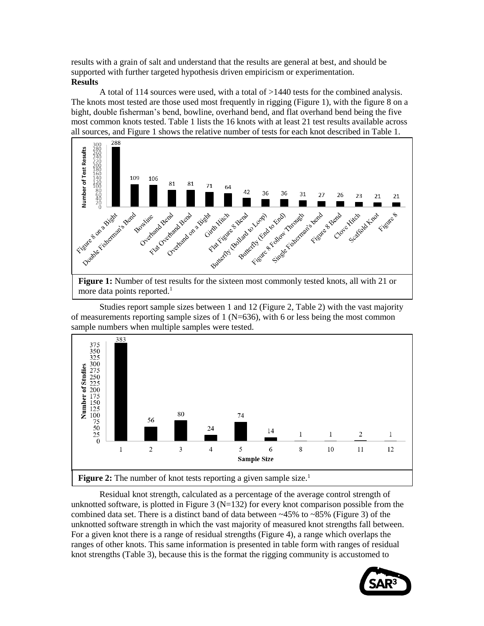results with a grain of salt and understand that the results are general at best, and should be supported with further targeted hypothesis driven empiricism or experimentation. **Results**

A total of 114 sources were used, with a total of >1440 tests for the combined analysis. The knots most tested are those used most frequently in rigging (Figure 1), with the figure 8 on a bight, double fisherman's bend, bowline, overhand bend, and flat overhand bend being the five most common knots tested. Table 1 lists the 16 knots with at least 21 test results available across all sources, and Figure 1 shows the relative number of tests for each knot described in Table 1.



more data points reported. $<sup>1</sup>$ </sup>

Studies report sample sizes between 1 and 12 (Figure 2, Table 2) with the vast majority of measurements reporting sample sizes of 1 ( $N=636$ ), with 6 or less being the most common sample numbers when multiple samples were tested.



Residual knot strength, calculated as a percentage of the average control strength of unknotted software, is plotted in Figure 3 ( $N=132$ ) for every knot comparison possible from the combined data set. There is a distinct band of data between  $\sim$ 45% to  $\sim$ 85% (Figure 3) of the unknotted software strength in which the vast majority of measured knot strengths fall between. For a given knot there is a range of residual strengths (Figure 4), a range which overlaps the ranges of other knots. This same information is presented in table form with ranges of residual knot strengths (Table 3), because this is the format the rigging community is accustomed to

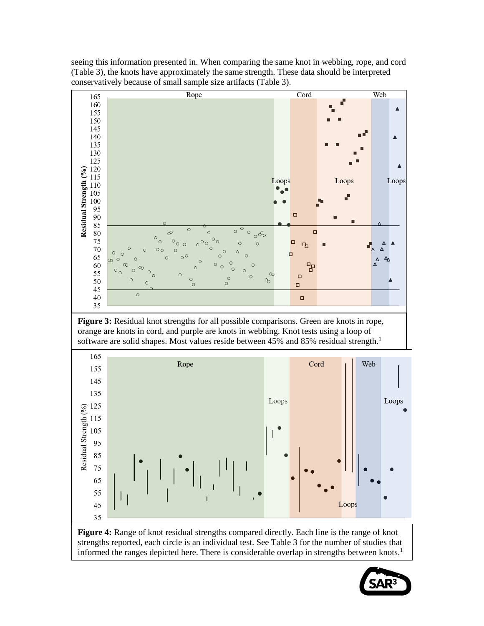

**Figure 4:** Range of knot residual strengths compared directly. Each line is the range of knot strengths reported, each circle is an individual test. See Table 3 for the number of studies that informed the ranges depicted here. There is considerable overlap in strengths between knots.<sup>1</sup>

65 55

45 35

seeing this information presented in. When comparing the same knot in webbing, rope, and cord (Table 3), the knots have approximately the same strength. These data should be interpreted

Loops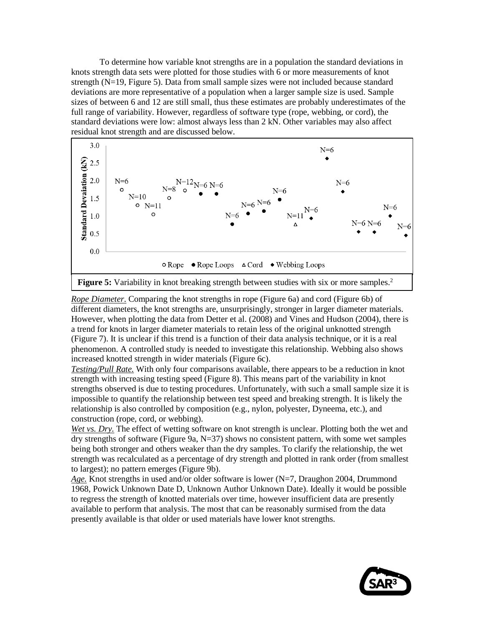To determine how variable knot strengths are in a population the standard deviations in knots strength data sets were plotted for those studies with 6 or more measurements of knot strength (N=19, Figure 5). Data from small sample sizes were not included because standard deviations are more representative of a population when a larger sample size is used. Sample sizes of between 6 and 12 are still small, thus these estimates are probably underestimates of the full range of variability. However, regardless of software type (rope, webbing, or cord), the standard deviations were low: almost always less than 2 kN. Other variables may also affect residual knot strength and are discussed below.



*Rope Diameter*. Comparing the knot strengths in rope (Figure 6a) and cord (Figure 6b) of different diameters, the knot strengths are, unsurprisingly, stronger in larger diameter materials. However, when plotting the data from Detter et al. (2008) and Vines and Hudson (2004), there is a trend for knots in larger diameter materials to retain less of the original unknotted strength (Figure 7). It is unclear if this trend is a function of their data analysis technique, or it is a real phenomenon. A controlled study is needed to investigate this relationship. Webbing also shows increased knotted strength in wider materials (Figure 6c).

*Testing/Pull Rate.* With only four comparisons available, there appears to be a reduction in knot strength with increasing testing speed (Figure 8). This means part of the variability in knot strengths observed is due to testing procedures. Unfortunately, with such a small sample size it is impossible to quantify the relationship between test speed and breaking strength. It is likely the relationship is also controlled by composition (e.g., nylon, polyester, Dyneema, etc.), and construction (rope, cord, or webbing).

*Wet vs. Dry.* The effect of wetting software on knot strength is unclear. Plotting both the wet and dry strengths of software (Figure 9a, N=37) shows no consistent pattern, with some wet samples being both stronger and others weaker than the dry samples. To clarify the relationship, the wet strength was recalculated as a percentage of dry strength and plotted in rank order (from smallest to largest); no pattern emerges (Figure 9b).

*Age.* Knot strengths in used and/or older software is lower (N=7, Draughon 2004, Drummond 1968, Powick Unknown Date D, Unknown Author Unknown Date). Ideally it would be possible to regress the strength of knotted materials over time, however insufficient data are presently available to perform that analysis. The most that can be reasonably surmised from the data presently available is that older or used materials have lower knot strengths.

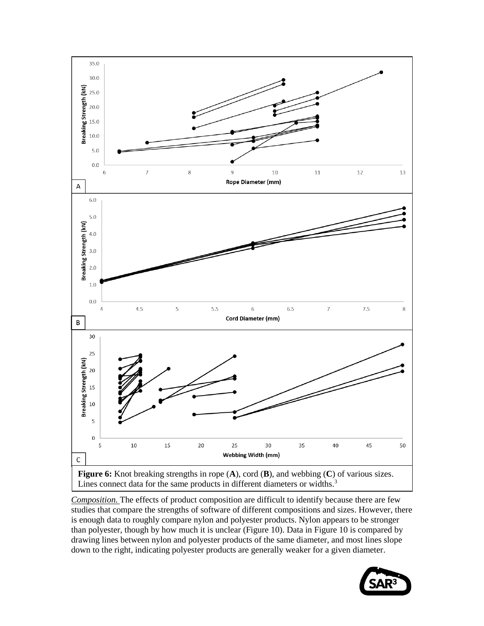

*Composition.* The effects of product composition are difficult to identify because there are few studies that compare the strengths of software of different compositions and sizes. However, there is enough data to roughly compare nylon and polyester products. Nylon appears to be stronger than polyester, though by how much it is unclear (Figure 10). Data in Figure 10 is compared by drawing lines between nylon and polyester products of the same diameter, and most lines slope down to the right, indicating polyester products are generally weaker for a given diameter.

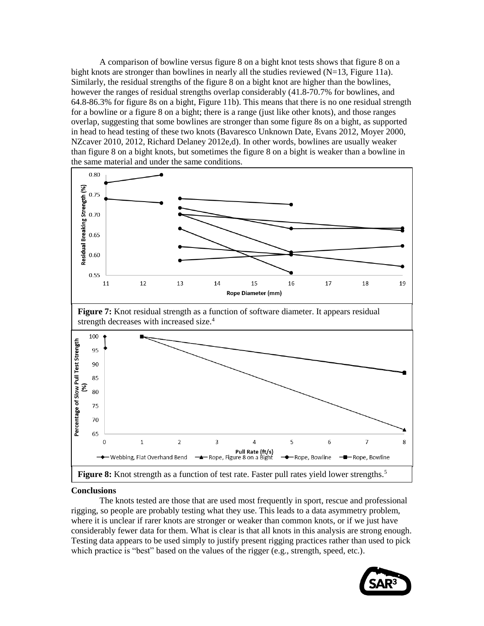A comparison of bowline versus figure 8 on a bight knot tests shows that figure 8 on a bight knots are stronger than bowlines in nearly all the studies reviewed  $(N=13,$  Figure 11a). Similarly, the residual strengths of the figure 8 on a bight knot are higher than the bowlines, however the ranges of residual strengths overlap considerably (41.8-70.7% for bowlines, and 64.8-86.3% for figure 8s on a bight, Figure 11b). This means that there is no one residual strength for a bowline or a figure 8 on a bight; there is a range (just like other knots), and those ranges overlap, suggesting that some bowlines are stronger than some figure 8s on a bight, as supported in head to head testing of these two knots (Bavaresco Unknown Date, Evans 2012, Moyer 2000, NZcaver 2010, 2012, Richard Delaney 2012e,d). In other words, bowlines are usually weaker than figure 8 on a bight knots, but sometimes the figure 8 on a bight is weaker than a bowline in the same material and under the same conditions.



### **Conclusions**

The knots tested are those that are used most frequently in sport, rescue and professional rigging, so people are probably testing what they use. This leads to a data asymmetry problem, where it is unclear if rarer knots are stronger or weaker than common knots, or if we just have considerably fewer data for them. What is clear is that all knots in this analysis are strong enough. Testing data appears to be used simply to justify present rigging practices rather than used to pick which practice is "best" based on the values of the rigger (e.g., strength, speed, etc.).

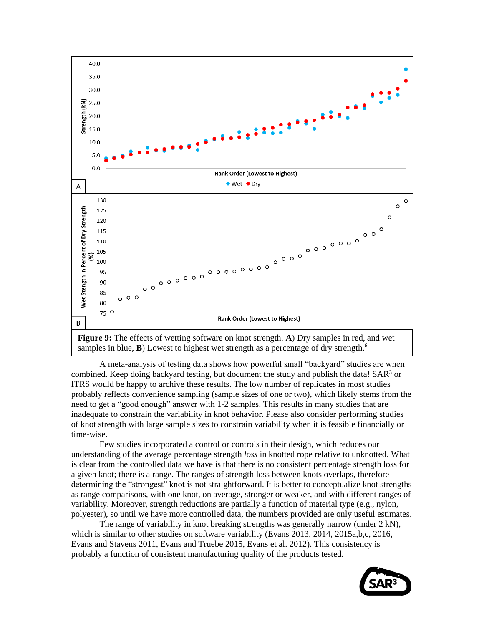

A meta-analysis of testing data shows how powerful small "backyard" studies are when combined. Keep doing backyard testing, but document the study and publish the data! SAR<sup>3</sup> or ITRS would be happy to archive these results. The low number of replicates in most studies probably reflects convenience sampling (sample sizes of one or two), which likely stems from the need to get a "good enough" answer with 1-2 samples. This results in many studies that are inadequate to constrain the variability in knot behavior. Please also consider performing studies of knot strength with large sample sizes to constrain variability when it is feasible financially or time-wise.

Few studies incorporated a control or controls in their design, which reduces our understanding of the average percentage strength *loss* in knotted rope relative to unknotted. What is clear from the controlled data we have is that there is no consistent percentage strength loss for a given knot; there is a range. The ranges of strength loss between knots overlaps, therefore determining the "strongest" knot is not straightforward. It is better to conceptualize knot strengths as range comparisons, with one knot, on average, stronger or weaker, and with different ranges of variability. Moreover, strength reductions are partially a function of material type (e.g., nylon, polyester), so until we have more controlled data, the numbers provided are only useful estimates.

The range of variability in knot breaking strengths was generally narrow (under 2 kN), which is similar to other studies on software variability (Evans 2013, 2014, 2015a,b,c, 2016, Evans and Stavens 2011, Evans and Truebe 2015, Evans et al. 2012). This consistency is probably a function of consistent manufacturing quality of the products tested.

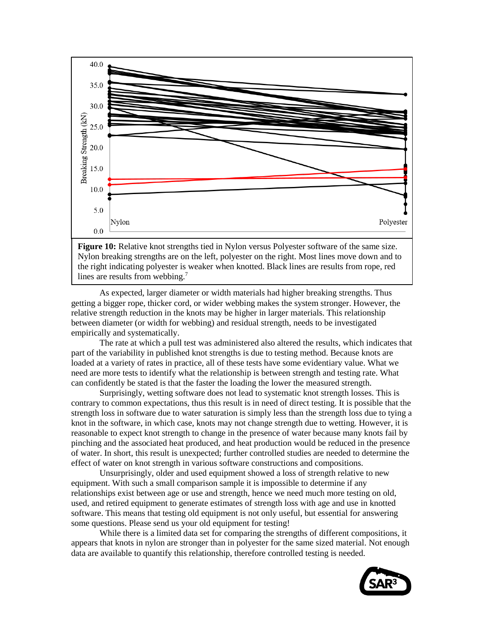

**Figure 10:** Relative knot strengths tied in Nylon versus Polyester software of the same size. Nylon breaking strengths are on the left, polyester on the right. Most lines move down and to the right indicating polyester is weaker when knotted. Black lines are results from rope, red lines are results from webbing.<sup>7</sup>

As expected, larger diameter or width materials had higher breaking strengths. Thus getting a bigger rope, thicker cord, or wider webbing makes the system stronger. However, the relative strength reduction in the knots may be higher in larger materials. This relationship between diameter (or width for webbing) and residual strength, needs to be investigated empirically and systematically.

The rate at which a pull test was administered also altered the results, which indicates that part of the variability in published knot strengths is due to testing method. Because knots are loaded at a variety of rates in practice, all of these tests have some evidentiary value. What we need are more tests to identify what the relationship is between strength and testing rate. What can confidently be stated is that the faster the loading the lower the measured strength.

Surprisingly, wetting software does not lead to systematic knot strength losses. This is contrary to common expectations, thus this result is in need of direct testing. It is possible that the strength loss in software due to water saturation is simply less than the strength loss due to tying a knot in the software, in which case, knots may not change strength due to wetting. However, it is reasonable to expect knot strength to change in the presence of water because many knots fail by pinching and the associated heat produced, and heat production would be reduced in the presence of water. In short, this result is unexpected; further controlled studies are needed to determine the effect of water on knot strength in various software constructions and compositions.

Unsurprisingly, older and used equipment showed a loss of strength relative to new equipment. With such a small comparison sample it is impossible to determine if any relationships exist between age or use and strength, hence we need much more testing on old, used, and retired equipment to generate estimates of strength loss with age and use in knotted software. This means that testing old equipment is not only useful, but essential for answering some questions. Please send us your old equipment for testing!

While there is a limited data set for comparing the strengths of different compositions, it appears that knots in nylon are stronger than in polyester for the same sized material. Not enough data are available to quantify this relationship, therefore controlled testing is needed.

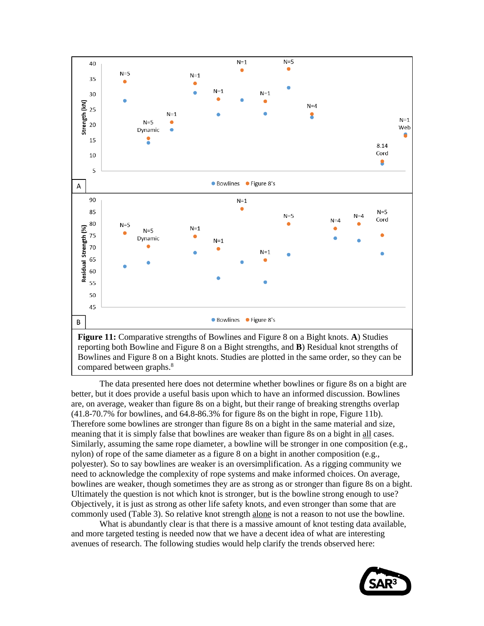

Bowlines and Figure 8 on a Bight knots. Studies are plotted in the same order, so they can be compared between graphs.<sup>8</sup>

The data presented here does not determine whether bowlines or figure 8s on a bight are better, but it does provide a useful basis upon which to have an informed discussion. Bowlines are, on average, weaker than figure 8s on a bight, but their range of breaking strengths overlap (41.8-70.7% for bowlines, and 64.8-86.3% for figure 8s on the bight in rope, Figure 11b). Therefore some bowlines are stronger than figure 8s on a bight in the same material and size, meaning that it is simply false that bowlines are weaker than figure 8s on a bight in all cases. Similarly, assuming the same rope diameter, a bowline will be stronger in one composition (e.g., nylon) of rope of the same diameter as a figure 8 on a bight in another composition (e.g., polyester). So to say bowlines are weaker is an oversimplification. As a rigging community we need to acknowledge the complexity of rope systems and make informed choices. On average, bowlines are weaker, though sometimes they are as strong as or stronger than figure 8s on a bight. Ultimately the question is not which knot is stronger, but is the bowline strong enough to use? Objectively, it is just as strong as other life safety knots, and even stronger than some that are commonly used (Table 3). So relative knot strength alone is not a reason to not use the bowline.

What is abundantly clear is that there is a massive amount of knot testing data available, and more targeted testing is needed now that we have a decent idea of what are interesting avenues of research. The following studies would help clarify the trends observed here:

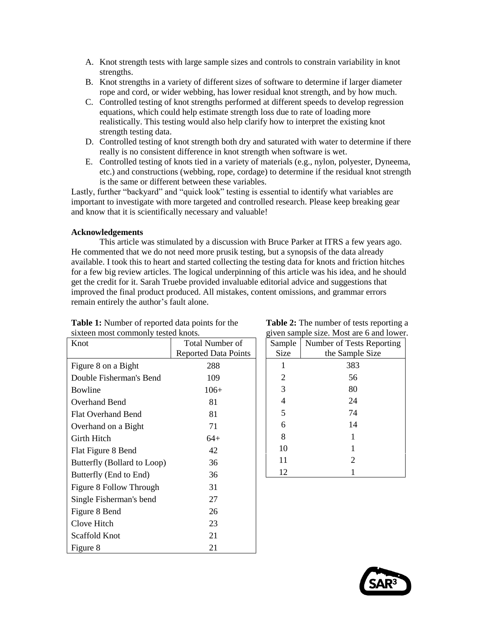- A. Knot strength tests with large sample sizes and controls to constrain variability in knot strengths.
- B. Knot strengths in a variety of different sizes of software to determine if larger diameter rope and cord, or wider webbing, has lower residual knot strength, and by how much.
- C. Controlled testing of knot strengths performed at different speeds to develop regression equations, which could help estimate strength loss due to rate of loading more realistically. This testing would also help clarify how to interpret the existing knot strength testing data.
- D. Controlled testing of knot strength both dry and saturated with water to determine if there really is no consistent difference in knot strength when software is wet.
- E. Controlled testing of knots tied in a variety of materials (e.g., nylon, polyester, Dyneema, etc.) and constructions (webbing, rope, cordage) to determine if the residual knot strength is the same or different between these variables.

Lastly, further "backyard" and "quick look" testing is essential to identify what variables are important to investigate with more targeted and controlled research. Please keep breaking gear and know that it is scientifically necessary and valuable!

### **Acknowledgements**

This article was stimulated by a discussion with Bruce Parker at ITRS a few years ago. He commented that we do not need more prusik testing, but a synopsis of the data already available. I took this to heart and started collecting the testing data for knots and friction hitches for a few big review articles. The logical underpinning of this article was his idea, and he should get the credit for it. Sarah Truebe provided invaluable editorial advice and suggestions that improved the final product produced. All mistakes, content omissions, and grammar errors remain entirely the author's fault alone.

| STATECH HIOST COMMITDING RESIDER. |                             |  |  |  |  |  |
|-----------------------------------|-----------------------------|--|--|--|--|--|
| Knot                              | Total Number of             |  |  |  |  |  |
|                                   | <b>Reported Data Points</b> |  |  |  |  |  |
| Figure 8 on a Bight               | 288                         |  |  |  |  |  |
| Double Fisherman's Bend           | 109                         |  |  |  |  |  |
| Bowline                           | $106+$                      |  |  |  |  |  |
| Overhand Bend                     | 81                          |  |  |  |  |  |
| <b>Flat Overhand Bend</b>         | 81                          |  |  |  |  |  |
| Overhand on a Bight               | 71                          |  |  |  |  |  |
| Girth Hitch                       | 64+                         |  |  |  |  |  |
| Flat Figure 8 Bend                | 42                          |  |  |  |  |  |
| Butterfly (Bollard to Loop)       | 36                          |  |  |  |  |  |
| Butterfly (End to End)            | 36                          |  |  |  |  |  |
| Figure 8 Follow Through           | 31                          |  |  |  |  |  |
| Single Fisherman's bend           | 27                          |  |  |  |  |  |
| Figure 8 Bend                     | 26                          |  |  |  |  |  |
| Clove Hitch                       | 23                          |  |  |  |  |  |
| Scaffold Knot                     | 21                          |  |  |  |  |  |
| Figure 8                          | 21                          |  |  |  |  |  |

| <b>Table 1:</b> Number of reported data points for the |
|--------------------------------------------------------|
| sixteen most commonly tested knots.                    |

| <b>Table 2:</b> The number of tests reporting a |
|-------------------------------------------------|
| given sample size. Most are 6 and lower.        |

|        | given sample size. Most are o and lower. |
|--------|------------------------------------------|
| Sample | Number of Tests Reporting                |
| Size   | the Sample Size                          |
|        | 383                                      |
| 2      | 56                                       |
| 3      | 80                                       |
| 4      | 24                                       |
| 5      | 74                                       |
| 6      | 14                                       |
| 8      |                                          |
| 10     |                                          |
| 11     | $\overline{2}$                           |
| 12     |                                          |

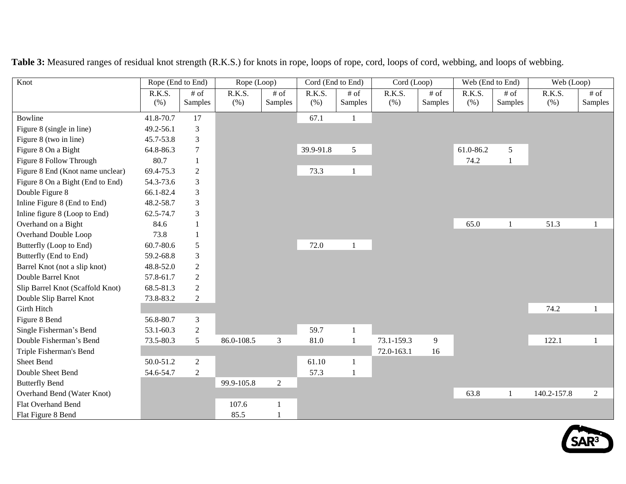| Knot                             | Rope (End to End) |                    | Rope (Loop)    |                   | Cord (End to End) |                    | Cord (Loop)   |                    | Web (End to End) | Web (Loop)         |                |                    |
|----------------------------------|-------------------|--------------------|----------------|-------------------|-------------------|--------------------|---------------|--------------------|------------------|--------------------|----------------|--------------------|
|                                  | R.K.S.<br>(% )    | $\#$ of<br>Samples | R.K.S.<br>(% ) | $#$ of<br>Samples | R.K.S.<br>(% )    | $\#$ of<br>Samples | R.K.S.<br>(%) | $\#$ of<br>Samples | R.K.S.<br>(% )   | $\#$ of<br>Samples | R.K.S.<br>(% ) | $\#$ of<br>Samples |
| <b>Bowline</b>                   | 41.8-70.7         | 17                 |                |                   | 67.1              | -1                 |               |                    |                  |                    |                |                    |
| Figure 8 (single in line)        | 49.2-56.1         | $\mathfrak{Z}$     |                |                   |                   |                    |               |                    |                  |                    |                |                    |
| Figure 8 (two in line)           | 45.7-53.8         | 3                  |                |                   |                   |                    |               |                    |                  |                    |                |                    |
| Figure 8 On a Bight              | 64.8-86.3         | $\tau$             |                |                   | 39.9-91.8         | 5                  |               |                    | 61.0-86.2        | 5                  |                |                    |
| Figure 8 Follow Through          | 80.7              |                    |                |                   |                   |                    |               |                    | 74.2             |                    |                |                    |
| Figure 8 End (Knot name unclear) | 69.4-75.3         | $\overline{2}$     |                |                   | 73.3              | $\mathbf{1}$       |               |                    |                  |                    |                |                    |
| Figure 8 On a Bight (End to End) | 54.3-73.6         | 3                  |                |                   |                   |                    |               |                    |                  |                    |                |                    |
| Double Figure 8                  | 66.1-82.4         | 3                  |                |                   |                   |                    |               |                    |                  |                    |                |                    |
| Inline Figure 8 (End to End)     | 48.2-58.7         | 3                  |                |                   |                   |                    |               |                    |                  |                    |                |                    |
| Inline figure 8 (Loop to End)    | 62.5-74.7         | 3                  |                |                   |                   |                    |               |                    |                  |                    |                |                    |
| Overhand on a Bight              | 84.6              |                    |                |                   |                   |                    |               |                    | 65.0             | $\mathbf{1}$       | 51.3           | $\mathbf{1}$       |
| Overhand Double Loop             | 73.8              |                    |                |                   |                   |                    |               |                    |                  |                    |                |                    |
| Butterfly (Loop to End)          | 60.7-80.6         | 5                  |                |                   | 72.0              | $\mathbf{1}$       |               |                    |                  |                    |                |                    |
| Butterfly (End to End)           | 59.2-68.8         | 3                  |                |                   |                   |                    |               |                    |                  |                    |                |                    |
| Barrel Knot (not a slip knot)    | 48.8-52.0         | $\overline{2}$     |                |                   |                   |                    |               |                    |                  |                    |                |                    |
| Double Barrel Knot               | 57.8-61.7         | 2                  |                |                   |                   |                    |               |                    |                  |                    |                |                    |
| Slip Barrel Knot (Scaffold Knot) | 68.5-81.3         | $\overline{2}$     |                |                   |                   |                    |               |                    |                  |                    |                |                    |
| Double Slip Barrel Knot          | 73.8-83.2         | $\overline{2}$     |                |                   |                   |                    |               |                    |                  |                    |                |                    |
| <b>Girth Hitch</b>               |                   |                    |                |                   |                   |                    |               |                    |                  |                    | 74.2           | 1                  |
| Figure 8 Bend                    | 56.8-80.7         | $\mathfrak{Z}$     |                |                   |                   |                    |               |                    |                  |                    |                |                    |
| Single Fisherman's Bend          | 53.1-60.3         | $\overline{2}$     |                |                   | 59.7              | $\mathbf{1}$       |               |                    |                  |                    |                |                    |
| Double Fisherman's Bend          | 73.5-80.3         | 5                  | 86.0-108.5     | 3                 | 81.0              | $\mathbf{1}$       | 73.1-159.3    | 9                  |                  |                    | 122.1          | $\mathbf{1}$       |
| Triple Fisherman's Bend          |                   |                    |                |                   |                   |                    | 72.0-163.1    | 16                 |                  |                    |                |                    |
| Sheet Bend                       | 50.0-51.2         | $\overline{2}$     |                |                   | 61.10             | $\mathbf{1}$       |               |                    |                  |                    |                |                    |
| Double Sheet Bend                | 54.6-54.7         | $\overline{2}$     |                |                   | 57.3              | $\mathbf{1}$       |               |                    |                  |                    |                |                    |
| <b>Butterfly Bend</b>            |                   |                    | 99.9-105.8     | $\overline{2}$    |                   |                    |               |                    |                  |                    |                |                    |
| Overhand Bend (Water Knot)       |                   |                    |                |                   |                   |                    |               |                    | 63.8             | $\overline{1}$     | 140.2-157.8    | $\overline{2}$     |
| Flat Overhand Bend               |                   |                    | 107.6          |                   |                   |                    |               |                    |                  |                    |                |                    |
| Flat Figure 8 Bend               |                   |                    | 85.5           |                   |                   |                    |               |                    |                  |                    |                |                    |

**Table 3:** Measured ranges of residual knot strength (R.K.S.) for knots in rope, loops of rope, cord, loops of cord, webbing, and loops of webbing.

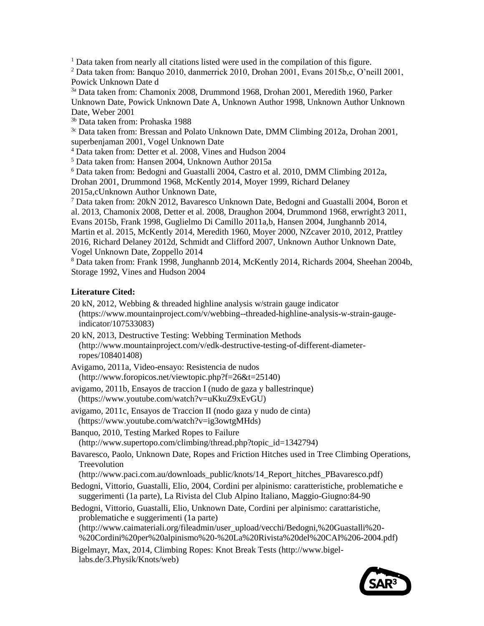<sup>1</sup> Data taken from nearly all citations listed were used in the compilation of this figure.

<sup>2</sup> Data taken from: Banquo 2010, danmerrick 2010, Drohan 2001, Evans 2015b,c, O'neill 2001, Powick Unknown Date d

3a Data taken from: Chamonix 2008, Drummond 1968, Drohan 2001, Meredith 1960, Parker Unknown Date, Powick Unknown Date A, Unknown Author 1998, Unknown Author Unknown Date, Weber 2001

3b Data taken from: Prohaska 1988

 $3c$  Data taken from: Bressan and Polato Unknown Date, DMM Climbing 2012a, Drohan 2001, superbenjaman 2001, Vogel Unknown Date

<sup>4</sup> Data taken from: Detter et al. 2008, Vines and Hudson 2004

<sup>5</sup> Data taken from: Hansen 2004, Unknown Author 2015a

<sup>6</sup> Data taken from: Bedogni and Guastalli 2004, Castro et al. 2010, DMM Climbing 2012a, Drohan 2001, Drummond 1968, McKently 2014, Moyer 1999, Richard Delaney 2015a,cUnknown Author Unknown Date,

 $^7$  Data taken from: 20kN 2012, Bavaresco Unknown Date, Bedogni and Guastalli 2004, Boron et al. 2013, Chamonix 2008, Detter et al. 2008, Draughon 2004, Drummond 1968, erwright3 2011, Evans 2015b, Frank 1998, Guglielmo Di Camillo 2011a,b, Hansen 2004, Junghannb 2014, Martin et al. 2015, McKently 2014, Meredith 1960, Moyer 2000, NZcaver 2010, 2012, Prattley 2016, Richard Delaney 2012d, Schmidt and Clifford 2007, Unknown Author Unknown Date, Vogel Unknown Date, Zoppello 2014

<sup>8</sup> Data taken from: Frank 1998, Junghannb 2014, McKently 2014, Richards 2004, Sheehan 2004b, Storage 1992, Vines and Hudson 2004

# **Literature Cited:**

- [20 kN, 2012, Webbing & threaded highline analysis w/strain gauge indicator](https://www.mountainproject.com/v/webbing--threaded-highline-analysis-w-strain-gauge-indicator/107533083) (https://www.mountainproject.com/v/webbing--threaded-highline-analysis-w-strain-gaugeindicator/107533083)
- [20 kN, 2013, Destructive Testing: Webbing Termination Methods](https://www.mountainproject.com/v/destructive-testing-webbing-termination-methods/108267769) (http://www.mountainproject.com/v/edk-destructive-testing-of-different-diameterropes/108401408)
- [Avigamo, 2011a, Video-ensayo: Resistencia de nudos](http://www.foropicos.net/viewtopic.php?f=26&t=25140) (http://www.foropicos.net/viewtopic.php?f=26&t=25140)
- [avigamo, 2011b, Ensayos de traccion I \(nudo de gaza y ballestrinque\)](https://www.youtube.com/watch?v=uKkuZ9xEvGU) (https://www.youtube.com/watch?v=uKkuZ9xEvGU)
- [avigamo, 2011c, Ensayos de Traccion II \(nodo gaza y nudo de cinta\)](https://www.youtube.com/watch?v=ig3owtgMHds) (https://www.youtube.com/watch?v=ig3owtgMHds)

[Banquo, 2010, Testing Marked Ropes to Failure](http://www.supertopo.com/climbing/thread.php?topic_id=1342794)  (http://www.supertopo.com/climbing/thread.php?topic\_id=1342794)

[Bavaresco, Paolo, Unknown Date, Ropes and Friction Hitches used in Tree Climbing](http://www.paci.com.au/downloads_public/knots/14_Report_hitches_PBavaresco.pdf) Operations, [Treevolution](http://www.paci.com.au/downloads_public/knots/14_Report_hitches_PBavaresco.pdf)

(http://www.paci.com.au/downloads\_public/knots/14\_Report\_hitches\_PBavaresco.pdf)

Bedogni, Vittorio, Guastalli, Elio, 2004, Cordini per alpinismo: caratteristiche, problematiche e suggerimenti (1a parte), La Rivista del Club Alpino Italiano, Maggio-Giugno:84-90

Bedogni, Vittorio, Guastalli, Elio, Unknown [Date, Cordini per alpinismo: carattaristiche,](http://www.caimateriali.org/fileadmin/user_upload/vecchi/Bedogni,%20Guastalli%20-%20Cordini%20per%20alpinismo%20-%20La%20Rivista%20del%20CAI%206-2004.pdf)  [problematiche e suggerimenti \(1a parte\)](http://www.caimateriali.org/fileadmin/user_upload/vecchi/Bedogni,%20Guastalli%20-%20Cordini%20per%20alpinismo%20-%20La%20Rivista%20del%20CAI%206-2004.pdf) (http://www.caimateriali.org/fileadmin/user\_upload/vecchi/Bedogni,%20Guastalli%20-

%20Cordini%20per%20alpinismo%20-%20La%20Rivista%20del%20CAI%206-2004.pdf)

[Bigelmayr, Max, 2014, Climbing Ropes: Knot Break Tests \(](http://www.bigel-labs.de/3.Physik/Knots/web)http://www.bigellabs.de/3.Physik/Knots/web)

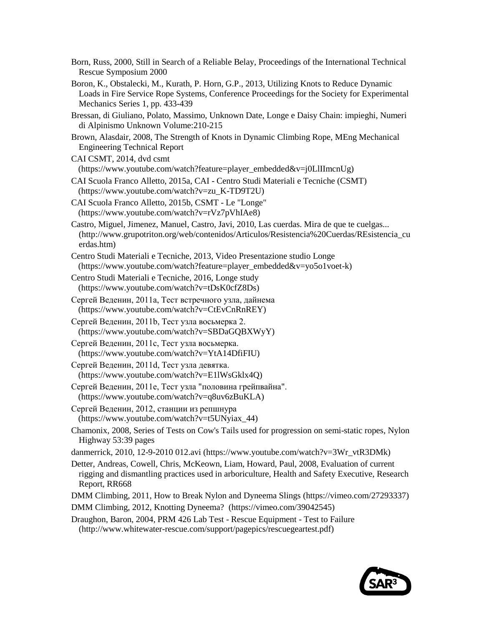| Born, Russ, 2000, Still in Search of a Reliable Belay, Proceedings of the International Technical<br>Rescue Symposium 2000                                                                                                  |
|-----------------------------------------------------------------------------------------------------------------------------------------------------------------------------------------------------------------------------|
| Boron, K., Obstalecki, M., Kurath, P. Horn, G.P., 2013, Utilizing Knots to Reduce Dynamic<br>Loads in Fire Service Rope Systems, Conference Proceedings for the Society for Experimental<br>Mechanics Series 1, pp. 433-439 |
| Bressan, di Giuliano, Polato, Massimo, Unknown Date, Longe e Daisy Chain: impieghi, Numeri<br>di Alpinismo Unknown Volume: 210-215                                                                                          |
| Brown, Alasdair, 2008, The Strength of Knots in Dynamic Climbing Rope, MEng Mechanical<br><b>Engineering Technical Report</b>                                                                                               |
| CAI CSMT, 2014, dvd csmt                                                                                                                                                                                                    |
| (https://www.youtube.com/watch?feature=player_embedded&v=j0LlIImcnUg)                                                                                                                                                       |
| CAI Scuola Franco Alletto, 2015a, CAI - Centro Studi Materiali e Tecniche (CSMT)<br>(https://www.youtube.com/watch?v=zu_K-TD9T2U)                                                                                           |
| CAI Scuola Franco Alletto, 2015b, CSMT - Le "Longe"<br>(https://www.youtube.com/watch?v=rVz7pVhIAe8)                                                                                                                        |
| Castro, Miguel, Jimenez, Manuel, Castro, Javi, 2010, Las cuerdas. Mira de que te cuelgas<br>(http://www.grupotriton.org/web/contenidos/Articulos/Resistencia%20Cuerdas/REsistencia_cu<br>erdas.htm)                         |
| Centro Studi Materiali e Tecniche, 2013, Video Presentazione studio Longe<br>(https://www.youtube.com/watch?feature=player_embedded&v=yo5o1voet-k)                                                                          |
| Centro Studi Materiali e Tecniche, 2016, Longe study<br>(https://www.youtube.com/watch?v=tDsK0cfZ8Ds)                                                                                                                       |
| Сергей Веденин, 2011а, Тест встречного узла, дайнема<br>(https://www.youtube.com/watch?v=CtEvCnRnREY)                                                                                                                       |
| Сергей Веденин, 2011b, Тест узла восьмерка 2.<br>(https://www.youtube.com/watch?v=SBDaGQBXWyY)                                                                                                                              |
| Сергей Веденин, 2011с, Тест узла восьмерка.<br>(https://www.youtube.com/watch?v=YtA14DfiFIU)                                                                                                                                |
| Сергей Веденин, 2011d, Тест узла девятка.<br>(https://www.youtube.com/watch?v=E1lWsGklx4Q)                                                                                                                                  |
| Сергей Веденин, 2011е, Тест узла "половина грейпвайна".<br>(https://www.youtube.com/watch?v=q8uv6zBuKLA)                                                                                                                    |
| Сергей Веденин, 2012, станции из репшнура<br>(https://www.youtube.com/watch?v=t5UNyiax_44)                                                                                                                                  |
| Chamonix, 2008, Series of Tests on Cow's Tails used for progression on semi-static ropes, Nylon<br>Highway 53:39 pages                                                                                                      |
| danmerrick, 2010, 12-9-2010 012.avi (https://www.youtube.com/watch?v=3Wr_vtR3DMk)                                                                                                                                           |
| Detter, Andreas, Cowell, Chris, McKeown, Liam, Howard, Paul, 2008, Evaluation of current<br>rigging and dismantling practices used in arboriculture, Health and Safety Executive, Research<br>Report, RR668                 |
| DMM Climbing, 2011, How to Break Nylon and Dyneema Slings (https://vimeo.com/27293337)                                                                                                                                      |
| DMM Climbing, 2012, Knotting Dyneema? (https://vimeo.com/39042545)                                                                                                                                                          |

[Draughon, Baron, 2004, PRM 426 Lab Test -](http://www.whitewater-rescue.com/support/pagepics/rescuegeartest.pdf) Rescue Equipment - Test to Failure (http://www.whitewater-rescue.com/support/pagepics/rescuegeartest.pdf)

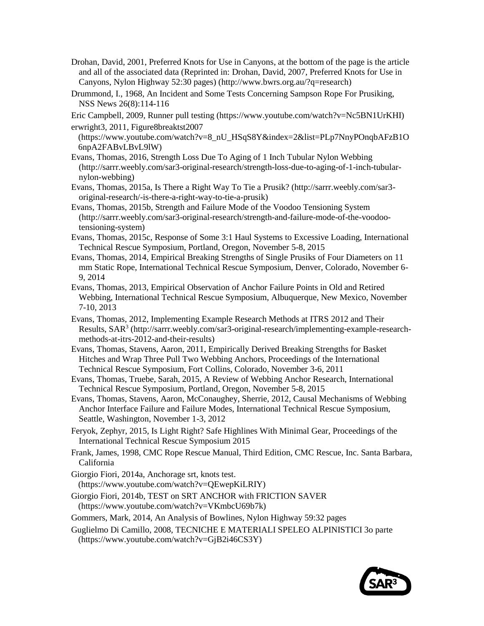- [Drohan, David, 2001, Preferred Knots for Use in Canyons,](http://www.bwrs.org.au/?q=research) at the bottom of the page is the article and all of the associated data (Reprinted in: [Drohan, David, 2007, Preferred Knots for Use in](http://caves.org/section/vertical/nh/52/PreferredKnots.pdf)  [Canyons, Nylon Highway 52:30 pages\)](http://caves.org/section/vertical/nh/52/PreferredKnots.pdf) (http://www.bwrs.org.au/?q=research)
- Drummond, I., 1968, An Incident and Some Tests Concerning Sampson Rope For Prusiking, NSS News 26(8):114-116
- [Eric Campbell, 2009, Runner pull testing](https://www.youtube.com/watch?v=Nc5BN1UrKHI) (https://www.youtube.com/watch?v=Nc5BN1UrKHI) [erwright3, 2011, Figure8breaktst2007](https://www.youtube.com/watch?v=8_nU_HSqS8Y&index=2&list=PLp7NnyPOnqbAFzB1O6npA2FABvLBvL9lW)
- (https://www.youtube.com/watch?v=8\_nU\_HSqS8Y&index=2&list=PLp7NnyPOnqbAFzB1O 6npA2FABvLBvL9lW)
- Evans, Thomas, 2016, Strength Loss Due To Aging of 1 Inch Tubular Nylon Webbing (http://sarrr.weebly.com/sar3-original-research/strength-loss-due-to-aging-of-1-inch-tubularnylon-webbing)
- Evans, Thomas, 2015a, Is There a Right Way To Tie a Prusik? (http://sarrr.weebly.com/sar3 original-research/-is-there-a-right-way-to-tie-a-prusik)
- Evans, Thomas, 2015b, Strength and Failure Mode of the Voodoo Tensioning System (http://sarrr.weebly.com/sar3-original-research/strength-and-failure-mode-of-the-voodootensioning-system)
- Evans, Thomas, 2015c, Response of Some 3:1 Haul Systems to Excessive Loading, International Technical Rescue Symposium, Portland, Oregon, November 5-8, 2015
- Evans, Thomas, 2014, Empirical Breaking Strengths of Single Prusiks of Four Diameters on 11 mm Static Rope, International Technical Rescue Symposium, Denver, Colorado, November 6- 9, 2014
- Evans, Thomas, 2013, Empirical Observation of Anchor Failure Points in Old and Retired Webbing, International Technical Rescue Symposium, Albuquerque, New Mexico, November 7-10, 2013
- [Evans, Thomas, 2012, Implementing Example Research Methods at ITRS 2012 and Their](http://sarrr.weebly.com/sar3-original-research/implementing-example-research-methods-at-itrs-2012-and-their-results)  [Results, SAR](http://sarrr.weebly.com/sar3-original-research/implementing-example-research-methods-at-itrs-2012-and-their-results)<sup>3</sup> (http://sarrr.weebly.com/sar3-original-research/implementing-example-researchmethods-at-itrs-2012-and-their-results)
- Evans, Thomas, Stavens, Aaron, 2011, Empirically Derived Breaking Strengths for Basket Hitches and Wrap Three Pull Two Webbing Anchors, Proceedings of the International Technical Rescue Symposium, Fort Collins, Colorado, November 3-6, 2011
- Evans, Thomas, Truebe, Sarah, 2015, A Review of Webbing Anchor Research, International Technical Rescue Symposium, Portland, Oregon, November 5-8, 2015
- Evans, Thomas, Stavens, Aaron, McConaughey, Sherrie, 2012, Causal Mechanisms of Webbing Anchor Interface Failure and Failure Modes, International Technical Rescue Symposium, Seattle, Washington, November 1-3, 2012
- [Feryok, Zephyr, 2015, Is Light Right? Safe Highlines With Minimal Gear, Proceedings of the](http://itrsonline.org/wordpress/wp-content/uploads/2015/11/Feryok_Is-Light-Right-final-paper.pdf)  [International Technical Rescue Symposium 2015](http://itrsonline.org/wordpress/wp-content/uploads/2015/11/Feryok_Is-Light-Right-final-paper.pdf)
- Frank, James, 1998, CMC Rope Rescue Manual, Third Edition, CMC Rescue, Inc. Santa Barbara, California
- [Giorgio Fiori, 2014a, Anchorage srt, knots test.](https://www.youtube.com/watch?v=QEwepKiLRIY) (https://www.youtube.com/watch?v=QEwepKiLRIY)
- [Giorgio Fiori, 2014b, TEST on SRT ANCHOR with FRICTION SAVER](https://www.youtube.com/watch?v=VKmbcU69b7k)  (https://www.youtube.com/watch?v=VKmbcU69b7k)

[Gommers, Mark, 2014, An Analysis of Bowlines, Nylon Highway 59:32 pages](http://caves.org/section/vertical/nh/59/Bowlines_Analysis.pdf) 

[Guglielmo Di Camillo, 2008, TECNICHE E MATERIALI SPELEO ALPINISTICI 3o parte](https://www.youtube.com/watch?v=GjB2i46CS3Y)  (https://www.youtube.com/watch?v=GjB2i46CS3Y)

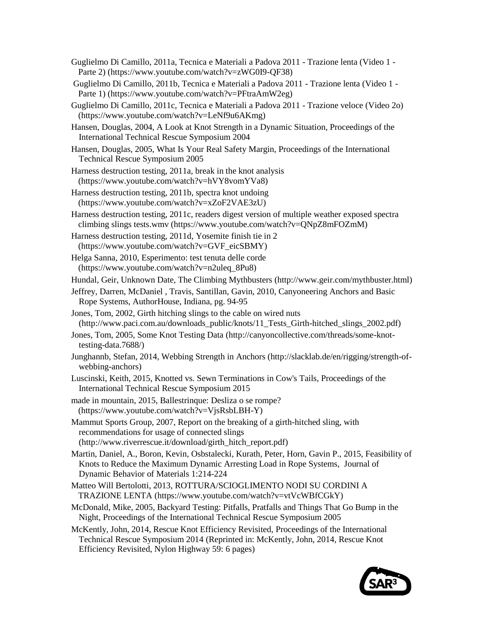- [Guglielmo Di Camillo, 2011a, Tecnica e Materiali a Padova 2011 -](https://www.youtube.com/watch?v=zWG0I9-QF38) Trazione lenta (Video 1 [Parte 2\) \(](https://www.youtube.com/watch?v=zWG0I9-QF38)https://www.youtube.com/watch?v=zWG0I9-QF38)
- [Guglielmo Di Camillo, 2011b, Tecnica e Materiali a Padova 2011 -](https://www.youtube.com/watch?v=PFtraAmW2eg) Trazione lenta (Video 1 [Parte 1\) \(](https://www.youtube.com/watch?v=PFtraAmW2eg)https://www.youtube.com/watch?v=PFtraAmW2eg)
- [Guglielmo Di Camillo, 2011c, Tecnica e Materiali a Padova 2011 -](https://www.youtube.com/watch?v=LeNf9u6AKmg) Trazione veloce (Video 2o) (https://www.youtube.com/watch?v=LeNf9u6AKmg)
- [Hansen, Douglas, 2004, A Look at Knot Strength in a Dynamic Situation, Proceedings of the](http://itrsonline.org/wordpress/wp-content/uploads/2015/04/KnotTesting.Hansen.2004.pdf)  [International Technical Rescue Symposium 2004](http://itrsonline.org/wordpress/wp-content/uploads/2015/04/KnotTesting.Hansen.2004.pdf)
- [Hansen, Douglas, 2005, What Is Your Real Safety Margin, Proceedings of the International](http://itrsonline.org/wordpress/wp-content/uploads/2015/04/Hansen.Safety.Margin.2005.pdf)  [Technical Rescue Symposium 2005](http://itrsonline.org/wordpress/wp-content/uploads/2015/04/Hansen.Safety.Margin.2005.pdf)
- [Harness destruction testing, 2011a, break](https://www.youtube.com/watch?v=hVY8vomYVa8) in the knot analysis (https://www.youtube.com/watch?v=hVY8vomYVa8)
- [Harness destruction testing, 2011b, spectra knot undoing](https://www.youtube.com/watch?v=xZoF2VAE3zU) (https://www.youtube.com/watch?v=xZoF2VAE3zU)
- [Harness destruction testing, 2011c, readers digest version of multiple weather exposed spectra](https://www.youtube.com/watch?v=QNpZ8mFOZmM)  [climbing slings tests.wmv](https://www.youtube.com/watch?v=QNpZ8mFOZmM) (https://www.youtube.com/watch?v=QNpZ8mFOZmM)
- [Harness destruction testing, 2011d, Yosemite finish tie in 2](https://www.youtube.com/watch?v=GVF_eicSBMY) (https://www.youtube.com/watch?v=GVF\_eicSBMY)
- [Helga Sanna, 2010, Esperimento: test tenuta delle corde](https://www.youtube.com/watch?v=n2uleq_8Pu8) (https://www.youtube.com/watch?v=n2uleq\_8Pu8)
- [Hundal, Geir, Unknown Date, The Climbing Mythbusters \(](http://www.geir.com/mythbuster.html)http://www.geir.com/mythbuster.html)
- Jeffrey, Darren, McDaniel , Travis, Santillan, Gavin, 2010, Canyoneering Anchors and Basic Rope Systems, AuthorHouse, Indiana, pg. 94-95
- [Jones, Tom, 2002, Girth hitching slings to the cable on wired nuts](http://www.paci.com.au/downloads_public/knots/11_Tests_Girth-hitched_slings_2002.pdf) (http://www.paci.com.au/downloads\_public/knots/11\_Tests\_Girth-hitched\_slings\_2002.pdf)
- [Jones, Tom, 2005, Some Knot Testing Data](http://canyoncollective.com/threads/some-knot-testing-data.7688/) (http://canyoncollective.com/threads/some-knottesting-data.7688/)
- [Junghannb, Stefan, 2014, Webbing Strength in Anchors](http://slacklab.de/en/rigging/strength-of-webbing-anchors) (http://slacklab.de/en/rigging/strength-ofwebbing-anchors)
- [Luscinski, Keith, 2015, Knotted vs. Sewn Terminations in Cow's Tails, Proceedings of the](http://itrsonline.org/wordpress/wp-content/uploads/2015/11/Luscinski-Knotted-vs-Sewn-Terminations.pdf)  [International Technical Rescue Symposium 2015](http://itrsonline.org/wordpress/wp-content/uploads/2015/11/Luscinski-Knotted-vs-Sewn-Terminations.pdf)
- [made in mountain, 2015, Ballestrinque: Desliza o se rompe?](https://www.youtube.com/watch?v=VjsRsbLBH-Y) (https://www.youtube.com/watch?v=VjsRsbLBH-Y)
- [Mammut Sports Group, 2007, Report on the breaking of a girth-hitched sling, with](http://www.riverrescue.it/download/girth_hitch_report.pdf)  [recommendations for usage of connected slings](http://www.riverrescue.it/download/girth_hitch_report.pdf) (http://www.riverrescue.it/download/girth\_hitch\_report.pdf)
- [Martin, Daniel, A., Boron, Kevin, Osbstalecki, Kurath, Peter, Horn, Gavin P., 2015, Feasibility of](http://download.springer.com/static/pdf/244/art%253A10.1007%252Fs40870-015-0015-5.pdf?originUrl=http%3A%2F%2Flink.springer.com%2Farticle%2F10.1007%2Fs40870-015-0015-5&token2=exp=1450503672~acl=%2Fstatic%2Fpdf%2F244%2Fart%25253A10.1007%25252Fs40870-015-0015-5.pdf%3ForiginUrl%3Dhttp%253A%252F%252Flink.springer.com%252Farticle%252F10.1007%252Fs40870-015-0015-5*~hmac=ffc677364815d53f98a744ddc46d119ba694b418b6355aef99b5c68b6a717b41)  [Knots to Reduce the Maximum Dynamic Arresting Load in Rope Systems, Journal of](http://download.springer.com/static/pdf/244/art%253A10.1007%252Fs40870-015-0015-5.pdf?originUrl=http%3A%2F%2Flink.springer.com%2Farticle%2F10.1007%2Fs40870-015-0015-5&token2=exp=1450503672~acl=%2Fstatic%2Fpdf%2F244%2Fart%25253A10.1007%25252Fs40870-015-0015-5.pdf%3ForiginUrl%3Dhttp%253A%252F%252Flink.springer.com%252Farticle%252F10.1007%252Fs40870-015-0015-5*~hmac=ffc677364815d53f98a744ddc46d119ba694b418b6355aef99b5c68b6a717b41)  [Dynamic Behavior of Materials 1:214-224](http://download.springer.com/static/pdf/244/art%253A10.1007%252Fs40870-015-0015-5.pdf?originUrl=http%3A%2F%2Flink.springer.com%2Farticle%2F10.1007%2Fs40870-015-0015-5&token2=exp=1450503672~acl=%2Fstatic%2Fpdf%2F244%2Fart%25253A10.1007%25252Fs40870-015-0015-5.pdf%3ForiginUrl%3Dhttp%253A%252F%252Flink.springer.com%252Farticle%252F10.1007%252Fs40870-015-0015-5*~hmac=ffc677364815d53f98a744ddc46d119ba694b418b6355aef99b5c68b6a717b41)
- [Matteo Will Bertolotti, 2013, ROTTURA/SCIOGLIMENTO NODI SU CORDINI A](https://www.youtube.com/watch?v=vtVcWBfCGkY)  [TRAZIONE LENTA \(](https://www.youtube.com/watch?v=vtVcWBfCGkY)https://www.youtube.com/watch?v=vtVcWBfCGkY)
- [McDonald, Mike, 2005, Backyard Testing: Pitfalls, Pratfalls and Things That Go Bump in the](http://itrsonline.org/wordpress/wp-content/uploads/2014/09/McDonald2005_ITRSSlides.pdf)  [Night, Proceedings of the International Technical Rescue Symposium 2005](http://itrsonline.org/wordpress/wp-content/uploads/2014/09/McDonald2005_ITRSSlides.pdf)
- [McKently, John, 2014, Rescue Knot Efficiency Revisited,](http://itrsonline.org/wordpress/wp-content/uploads/2015/02/010.McKently.2014.pdf) Proceedings of the International [Technical Rescue Symposium 2014 \(](http://itrsonline.org/wordpress/wp-content/uploads/2015/02/010.McKently.2014.pdf)Reprinted in: [McKently, John, 2014, Rescue Knot](http://caves.org/section/vertical/nh/59/Rescue%20Knot%20Efficiency%20Revisited.pdf)  [Efficiency Revisited, Nylon Highway 59: 6 pages\)](http://caves.org/section/vertical/nh/59/Rescue%20Knot%20Efficiency%20Revisited.pdf)

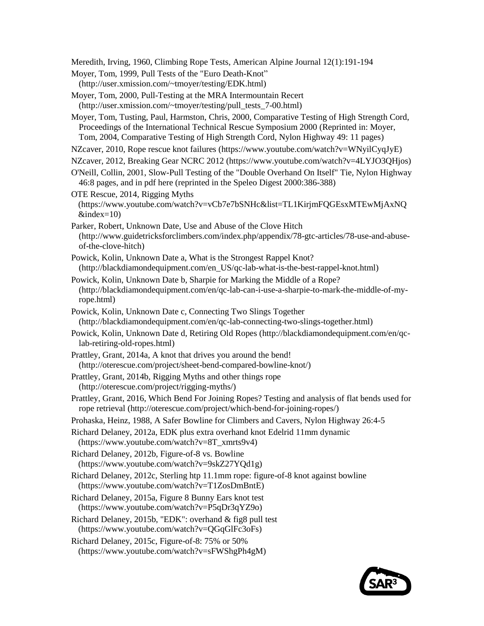[Meredith, Irving, 1960, Climbing Rope Tests, American Alpine Journal 12\(1\):191-194](http://aac-publications.s3.amazonaws.com/documents/aaj/1960/PDF/AAJ_1960_12_1_191.pdf)

[Moyer, Tom, 1999, Pull Tests of the "Euro Death-Knot"](http://user.xmission.com/~tmoyer/testing/EDK.html) (http://user.xmission.com/~tmoyer/testing/EDK.html)

[Moyer, Tom, 2000, Pull-Testing at the MRA Intermountain Recert](http://user.xmission.com/~tmoyer/testing/pull_tests_7-00.html) (http://user.xmission.com/~tmoyer/testing/pull\_tests\_7-00.html)

Moyer, Tom, Tusting, Paul, Harmston, [Chris, 2000, Comparative Testing of High Strength Cord,](http://itrsonline.org/wordpress/wp-content/uploads/2015/04/Moyer.Harmston.2000.pdf)  [Proceedings of the International Technical Rescue Symposium 2000 \(](http://itrsonline.org/wordpress/wp-content/uploads/2015/04/Moyer.Harmston.2000.pdf)Reprinted in: [Moyer,](http://caves.org/section/vertical/nh/49/cthsc/cthsc.html)  [Tom, 2004, Comparative Testing of High Strength Cord, Nylon Highway 49: 11 pages\)](http://caves.org/section/vertical/nh/49/cthsc/cthsc.html)

[NZcaver, 2010, Rope rescue knot failures \(](https://www.youtube.com/watch?v=WNyilCyqJyE)https://www.youtube.com/watch?v=WNyilCyqJyE)

[NZcaver, 2012, Breaking Gear NCRC 2012](https://www.youtube.com/watch?v=4LYJO3QHjos) (https://www.youtube.com/watch?v=4LYJO3QHjos)

[O'Neill, Collin, 2001, Slow-Pull Testing of the "Double Overhand On Itself" Tie, Nylon Highway](http://caves.org/section/vertical/nh/46/doitie.html)  [46:8 pages,](http://caves.org/section/vertical/nh/46/doitie.html) and in pdf [here](http://caves.org/section/vertical/nh/pdfs/nh46.pdf) (reprinted in the Speleo Digest 2000:386-388)

[OTE Rescue, 2014, Rigging Myths](https://www.youtube.com/watch?v=vCb7e7bSNHc&list=TL1KirjmFQGEsxMTEwMjAxNQ&index=10) (https://www.youtube.com/watch?v=vCb7e7bSNHc&list=TL1KirjmFQGEsxMTEwMjAxNQ  $\&$ index=10)

[Parker, Robert, Unknown Date, Use and Abuse of the Clove Hitch](http://www.guidetricksforclimbers.com/index.php/appendix/78-gtc-articles/78-use-and-abuse-of-the-clove-hitch) (http://www.guidetricksforclimbers.com/index.php/appendix/78-gtc-articles/78-use-and-abuseof-the-clove-hitch)

[Powick, Kolin, Unknown Date a, What is the Strongest Rappel Knot?](http://blackdiamondequipment.com/en/qc-lab-what-is-the-best-rappel-knot.html) (http://blackdiamondequipment.com/en\_US/qc-lab-what-is-the-best-rappel-knot.html)

[Powick, Kolin, Unknown Date b, Sharpie for Marking the Middle of a Rope?](http://blackdiamondequipment.com/en/qc-lab-can-i-use-a-sharpie-to-mark-the-middle-of-my-rope.html)  (http://blackdiamondequipment.com/en/qc-lab-can-i-use-a-sharpie-to-mark-the-middle-of-myrope.html)

[Powick, Kolin, Unknown Date c, Connecting Two Slings Together](http://blackdiamondequipment.com/en/qc-lab-connecting-two-slings-together.html) (http://blackdiamondequipment.com/en/qc-lab-connecting-two-slings-together.html)

[Powick, Kolin, Unknown Date d, Retiring Old Ropes](http://blackdiamondequipment.com/en/qc-lab-retiring-old-ropes.html) (http://blackdiamondequipment.com/en/qclab-retiring-old-ropes.html)

- [Prattley, Grant, 2014a, A knot that drives you around the bend!](http://oterescue.com/project/sheet-bend-compared-bowline-knot/) (http://oterescue.com/project/sheet-bend-compared-bowline-knot/)
- [Prattley, Grant, 2014b, Rigging Myths and other things rope](http://oterescue.com/project/rigging-myths/) (http://oterescue.com/project/rigging-myths/)

[Prattley, Grant, 2016, Which Bend For Joining Ropes? Testing and analysis of flat bends used for](http://oterescue.com/project/which-bend-for-joining-ropes/)  [rope retrieval](http://oterescue.com/project/which-bend-for-joining-ropes/) (http://oterescue.com/project/which-bend-for-joining-ropes/)

Prohaska, Heinz, 1988, A Safer Bowline for Climbers and Cavers, Nylon Highway 26:4-5

[Richard Delaney, 2012a, EDK plus extra overhand knot Edelrid 11mm dynamic](https://www.youtube.com/watch?v=8T_xmrts9v4)

(https://www.youtube.com/watch?v=8T\_xmrts9v4)

[Richard Delaney, 2012b, Figure-of-8 vs. Bowline](https://www.youtube.com/watch?v=9skZ27YQd1g) (https://www.youtube.com/watch?v=9skZ27YQd1g)

[Richard Delaney, 2012c, Sterling htp 11.1mm rope: figure-of-8 knot against bowline](https://www.youtube.com/watch?v=T1ZosDmBntE) (https://www.youtube.com/watch?v=T1ZosDmBntE)

[Richard Delaney, 2015a, Figure 8 Bunny Ears knot test](https://www.youtube.com/watch?v=P5qDr3qYZ9o) (https://www.youtube.com/watch?v=P5qDr3qYZ9o)

[Richard Delaney, 2015b, "EDK": overhand & fig8 pull test](https://www.youtube.com/watch?v=QGqGlFc3oFs)  (https://www.youtube.com/watch?v=QGqGlFc3oFs)

[Richard Delaney, 2015c, Figure-of-8: 75% or 50%](https://www.youtube.com/watch?v=sFWShgPh4gM) (https://www.youtube.com/watch?v=sFWShgPh4gM)

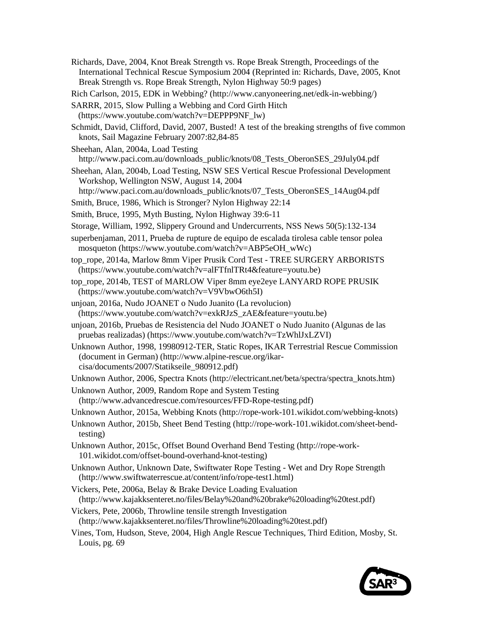[Richards, Dave, 2004, Knot Break Strength vs. Rope Break Strength, Proceedings of the](http://itrsonline.org/wordpress/wp-content/uploads/2015/04/KnotvsRope.Richards.2004.pdf)  [International Technical Rescue Symposium 2004 \(](http://itrsonline.org/wordpress/wp-content/uploads/2015/04/KnotvsRope.Richards.2004.pdf)Reprinted in: [Richards, Dave, 2005, Knot](http://caves.org/section/vertical/nh/50/knotrope.html)  [Break Strength vs. Rope Break Strength, Nylon Highway 50:9 pages\)](http://caves.org/section/vertical/nh/50/knotrope.html)

[Rich Carlson, 2015, EDK in](http://www.canyoneering.net/edk-in-webbing/) Webbing? (http://www.canyoneering.net/edk-in-webbing/)

- [SARRR, 2015, Slow Pulling a Webbing and Cord Girth Hitch](https://www.youtube.com/watch?v=DEPPP9NF_lw) (https://www.youtube.com/watch?v=DEPPP9NF\_lw)
- [Schmidt, David, Clifford, David, 2007, Busted! A test of the breaking strengths of five common](http://www.neropes.com/Resources/sail_reprint.pdf)  [knots, Sail Magazine February 2007:82,84-85](http://www.neropes.com/Resources/sail_reprint.pdf)
- [Sheehan, Alan, 2004a, Load Testing](http://www.paci.com.au/downloads_public/knots/08_Tests_OberonSES_29July04.pdf)  http://www.paci.com.au/downloads\_public/knots/08\_Tests\_OberonSES\_29July04.pdf
- [Sheehan, Alan, 2004b, Load Testing, NSW SES Vertical Rescue Professional Development](http://www.paci.com.au/downloads_public/knots/07_Tests_OberonSES_14Aug04.pdf)  [Workshop, Wellington NSW, August 14, 2004](http://www.paci.com.au/downloads_public/knots/07_Tests_OberonSES_14Aug04.pdf)

http://www.paci.com.au/downloads\_public/knots/07\_Tests\_OberonSES\_14Aug04.pdf

Smith, Bruce, 1986, Which is Stronger? Nylon Highway 22:14

Smith, Bruce, 1995, Myth Busting, Nylon Highway 39:6-11

Storage, William, 1992, Slippery Ground and Undercurrents, NSS News 50(5):132-134

- [superbenjaman, 2011, Prueba de rupture de equipo de escalada tirolesa cable tensor polea](https://www.youtube.com/watch?v=ABP5eOH_wWc)  [mosqueton \(](https://www.youtube.com/watch?v=ABP5eOH_wWc)https://www.youtube.com/watch?v=ABP5eOH\_wWc)
- [top\\_rope, 2014a, Marlow 8mm Viper Prusik Cord Test -](https://www.youtube.com/watch?v=alFTfnlTRt4&feature=youtu.be) TREE SURGERY ARBORISTS (https://www.youtube.com/watch?v=alFTfnlTRt4&feature=youtu.be)
- [top\\_rope, 2014b, TEST of MARLOW Viper 8mm eye2eye LANYARD ROPE PRUSIK](https://www.youtube.com/watch?v=V9VbwO6th5I)  (https://www.youtube.com/watch?v=V9VbwO6th5I)
- [unjoan, 2016a, Nudo JOANET o Nudo Juanito \(La revolucion\)](https://www.youtube.com/watch?v=exkRJzS_zAE&feature=youtu.be) (https://www.youtube.com/watch?v=exkRJzS\_zAE&feature=youtu.be)
- [unjoan, 2016b, Pruebas de Resistencia del Nudo JOANET o Nudo Juanito \(Algunas de las](https://www.youtube.com/watch?v=TzWhlJxLZVI)  [pruebas realizadas\)](https://www.youtube.com/watch?v=TzWhlJxLZVI) (https://www.youtube.com/watch?v=TzWhlJxLZVI)

Unknown Author, [1998, 19980912-TER, Static Ropes, IKAR Terrestrial Rescue Commission](http://www.alpine-rescue.org/ikar-cisa/documents/2007/Statikseile_980912.pdf)  (document in German) (http://www.alpine-rescue.org/ikarcisa/documents/2007/Statikseile\_980912.pdf)

[Unknown Author, 2006, Spectra Knots](http://electricant.net/beta/spectra/spectra_knots.htm) (http://electricant.net/beta/spectra/spectra\_knots.htm)

[Unknown Author, 2009, Random Rope and System Testing](http://www.advancedrescue.com/resources/FFD-Rope-testing.pdf) (http://www.advancedrescue.com/resources/FFD-Rope-testing.pdf)

[Unknown Author, 2015a, Webbing Knots \(](http://rope-work-101.wikidot.com/webbing-knots)http://rope-work-101.wikidot.com/webbing-knots)

[Unknown Author, 2015b, Sheet Bend Testing](http://rope-work-101.wikidot.com/sheet-bend-testing) (http://rope-work-101.wikidot.com/sheet-bendtesting)

- [Unknown Author, 2015c, Offset Bound Overhand Bend Testing](http://rope-work-101.wikidot.com/offset-bound-overhand-knot-testing) (http://rope-work-101.wikidot.com/offset-bound-overhand-knot-testing)
- [Unknown Author, Unknown Date, Swiftwater Rope Testing -](http://www.swiftwaterrescue.at/content/info/rope-test1.html) Wet and Dry Rope Strength (http://www.swiftwaterrescue.at/content/info/rope-test1.html)
- Vickers, Pete, 2006a, Belay [& Brake Device Loading Evaluation](http://www.kajakksenteret.no/files/Belay%20and%20brake%20loading%20test.pdf) (http://www.kajakksenteret.no/files/Belay%20and%20brake%20loading%20test.pdf)
- [Vickers, Pete, 2006b, Throwline tensile strength Investigation](http://www.kajakksenteret.no/files/Throwline%20loading%20test.pdf) (http://www.kajakksenteret.no/files/Throwline%20loading%20test.pdf)
- Vines, Tom, Hudson, Steve, 2004, High Angle Rescue Techniques, Third Edition, Mosby, St. Louis, pg. 69